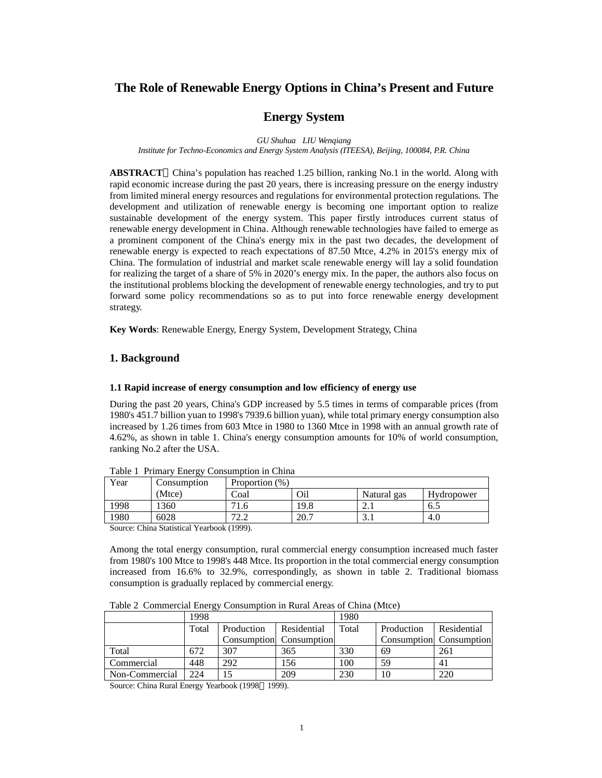# **The Role of Renewable Energy Options in China's Present and Future**

# **Energy System**

*GU Shuhua LIU Wenqiang*

*Institute for Techno-Economics and Energy System Analysis (ITEESA), Beijing, 100084, P.R. China*

**ABSTRACT** China's population has reached 1.25 billion, ranking No.1 in the world. Along with rapid economic increase during the past 20 years, there is increasing pressure on the energy industry from limited mineral energy resources and regulations for environmental protection regulations. The development and utilization of renewable energy is becoming one important option to realize sustainable development of the energy system. This paper firstly introduces current status of renewable energy development in China. Although renewable technologies have failed to emerge as a prominent component of the China's energy mix in the past two decades, the development of renewable energy is expected to reach expectations of 87.50 Mtce, 4.2% in 2015's energy mix of China. The formulation of industrial and market scale renewable energy will lay a solid foundation for realizing the target of a share of 5% in 2020's energy mix. In the paper, the authors also focus on the institutional problems blocking the development of renewable energy technologies, and try to put forward some policy recommendations so as to put into force renewable energy development strategy.

**Key Words**: Renewable Energy, Energy System, Development Strategy, China

# **1. Background**

### **1.1 Rapid increase of energy consumption and low efficiency of energy use**

During the past 20 years, China's GDP increased by 5.5 times in terms of comparable prices (from 1980's 451.7 billion yuan to 1998's 7939.6 billion yuan), while total primary energy consumption also increased by 1.26 times from 603 Mtce in 1980 to 1360 Mtce in 1998 with an annual growth rate of 4.62%, as shown in table 1. China's energy consumption amounts for 10% of world consumption, ranking No.2 after the USA.

| Year | Consumption | Proportion (%)                         |      |                  |            |
|------|-------------|----------------------------------------|------|------------------|------------|
|      | (Mtce)      | Coal                                   | Oil  | Natural<br>gas   | Hydropower |
| 1998 | 360         | 1.6                                    | 19.8 | $\overline{a}$ . | 6.5        |
| 1980 | 6028        | $\overline{\phantom{a}}$<br>. <i>.</i> | 20.7 | <u>.</u>         | 4.U        |

Table 1 Primary Energy Consumption in China

Source: China Statistical Yearbook (1999).

Among the total energy consumption, rural commercial energy consumption increased much faster from 1980's 100 Mtce to 1998's 448 Mtce. Its proportion in the total commercial energy consumption increased from 16.6% to 32.9%, correspondingly, as shown in table 2. Traditional biomass consumption is gradually replaced by commercial energy.

Table 2 Commercial Energy Consumption in Rural Areas of China (Mtce)

|                | ັ<br>1998 |            |                         | 1980  |            |                         |  |
|----------------|-----------|------------|-------------------------|-------|------------|-------------------------|--|
|                | Total     | Production | Residential             | Total | Production | Residential             |  |
|                |           |            | Consumption Consumption |       |            | Consumption Consumption |  |
| Total          | 672       | 307        | 365                     | 330   | 69         | 261                     |  |
| Commercial     | 448       | 292        | 156                     | 100   | 59         | 4 <sub>1</sub>          |  |
| Non-Commercial | 224       |            | 209                     | 230   | 10         | 220                     |  |

Source: China Rural Energy Yearbook (1998 1999).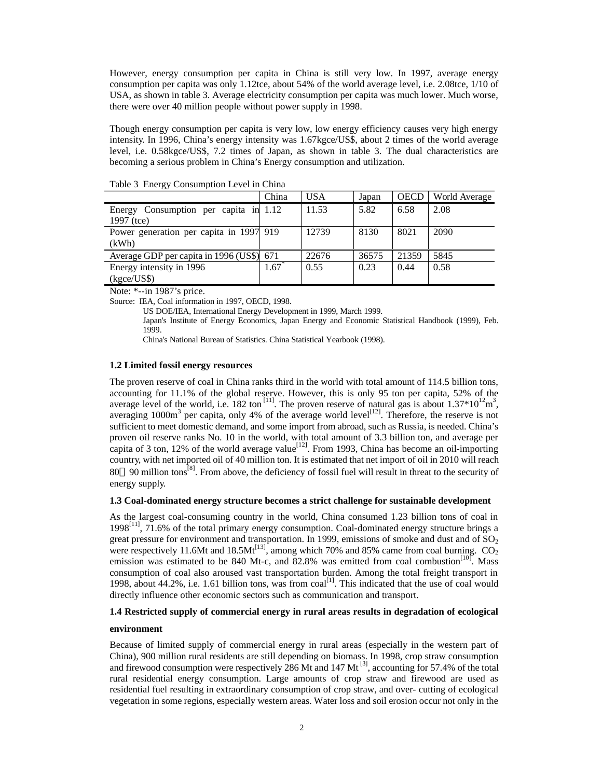However, energy consumption per capita in China is still very low. In 1997, average energy consumption per capita was only 1.12tce, about 54% of the world average level, i.e. 2.08tce, 1/10 of USA, as shown in table 3. Average electricity consumption per capita was much lower. Much worse, there were over 40 million people without power supply in 1998.

Though energy consumption per capita is very low, low energy efficiency causes very high energy intensity. In 1996, China's energy intensity was 1.67kgce/US\$, about 2 times of the world average level, i.e. 0.58kgce/US\$, 7.2 times of Japan, as shown in table 3. The dual characteristics are becoming a serious problem in China's Energy consumption and utilization.

|                                           | China | USA   | Japan | <b>OECD</b> | World Average |
|-------------------------------------------|-------|-------|-------|-------------|---------------|
| Energy Consumption per capita in 1.12     |       | 11.53 | 5.82  | 6.58        | 2.08          |
| 1997 (tce)                                |       |       |       |             |               |
| Power generation per capita in 1997 919   |       | 12739 | 8130  | 8021        | 2090          |
| (kWh)                                     |       |       |       |             |               |
| Average GDP per capita in 1996 (US\$) 671 |       | 22676 | 36575 | 21359       | 5845          |
| Energy intensity in 1996                  | 1.67  | 0.55  | 0.23  | 0.44        | 0.58          |
| $(k\text{gce}/\text{USS})$                |       |       |       |             |               |

Table 3 Energy Consumption Level in China

Note: \*--in 1987's price.

Source: IEA, Coal information in 1997, OECD, 1998.

US DOE/IEA, International Energy Development in 1999, March 1999.

Japan's Institute of Energy Economics, Japan Energy and Economic Statistical Handbook (1999), Feb. 1999.

China's National Bureau of Statistics. China Statistical Yearbook (1998).

#### **1.2 Limited fossil energy resources**

The proven reserve of coal in China ranks third in the world with total amount of 114.5 billion tons, accounting for 11.1% of the global reserve. However, this is only 95 ton per capita, 52% of the average level of the world, i.e. 182 ton<sup>[11]</sup>. The proven reserve of natural gas is about  $1.37*10^{12}$ m<sup>3</sup>, averaging  $1000m<sup>3</sup>$  per capita, only 4% of the average world level<sup>[12]</sup>. Therefore, the reserve is not sufficient to meet domestic demand, and some import from abroad, such as Russia, is needed. China's proven oil reserve ranks No. 10 in the world, with total amount of 3.3 billion ton, and average per capita of 3 ton, 12% of the world average value<sup>[12]</sup>. From 1993, China has become an oil-importing country, with net imported oil of 40 million ton. It is estimated that net import of oil in 2010 will reach 80 90 million tons<sup>[8]</sup>. From above, the deficiency of fossil fuel will result in threat to the security of energy supply.

#### **1.3 Coal-dominated energy structure becomes a strict challenge for sustainable development**

As the largest coal-consuming country in the world, China consumed 1.23 billion tons of coal in  $1998$ <sup>[11]</sup>, 71.6% of the total primary energy consumption. Coal-dominated energy structure brings a great pressure for environment and transportation. In 1999, emissions of smoke and dust and of  $SO<sub>2</sub>$ were respectively 11.6Mt and  $18.5$ Mt<sup> $[13]$ </sup>, among which 70% and 85% came from coal burning.  $CO<sub>2</sub>$ emission was estimated to be 840 Mt-c, and 82.8% was emitted from coal combustion<sup>[10]</sup>. Mass consumption of coal also aroused vast transportation burden. Among the total freight transport in 1998, about 44.2%, i.e. 1.61 billion tons, was from coal<sup>[1]</sup>. This indicated that the use of coal would directly influence other economic sectors such as communication and transport.

### **1.4 Restricted supply of commercial energy in rural areas results in degradation of ecological**

#### **environment**

Because of limited supply of commercial energy in rural areas (especially in the western part of China), 900 million rural residents are still depending on biomass. In 1998, crop straw consumption and firewood consumption were respectively 286 Mt and  $147 \text{ Mt}^{3}$ , accounting for 57.4% of the total rural residential energy consumption. Large amounts of crop straw and firewood are used as residential fuel resulting in extraordinary consumption of crop straw, and over- cutting of ecological vegetation in some regions, especially western areas. Water loss and soil erosion occur not only in the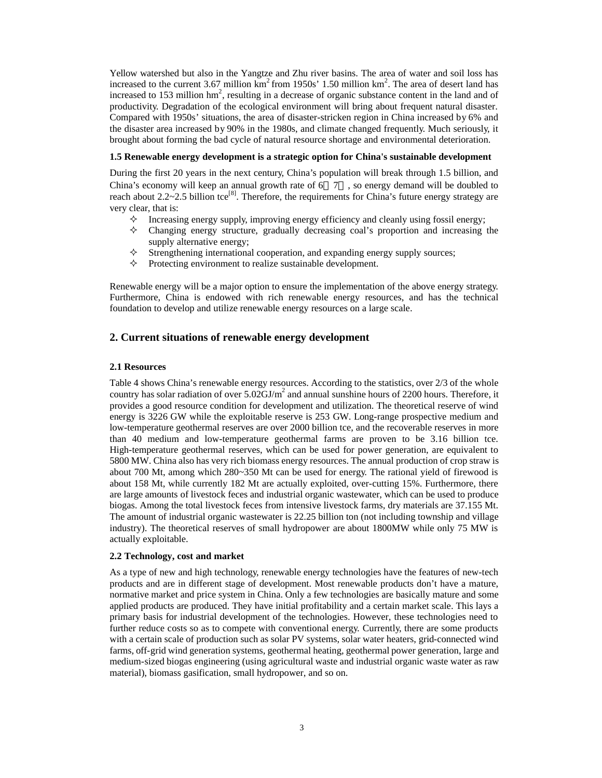Yellow watershed but also in the Yangtze and Zhu river basins. The area of water and soil loss has increased to the current 3.67 million  $km^2$  from 1950s' 1.50 million  $km^2$ . The area of desert land has increased to 153 million  $hm^2$ , resulting in a decrease of organic substance content in the land and of productivity. Degradation of the ecological environment will bring about frequent natural disaster. Compared with 1950s' situations, the area of disaster-stricken region in China increased by 6% and the disaster area increased by 90% in the 1980s, and climate changed frequently. Much seriously, it brought about forming the bad cycle of natural resource shortage and environmental deterioration.

### **1.5 Renewable energy development is a strategic option for China's sustainable development**

During the first 20 years in the next century, China's population will break through 1.5 billion, and China's economy will keep an annual growth rate of 6 7 , so energy demand will be doubled to reach about 2.2~2.5 billion tce<sup>[8]</sup>. Therefore, the requirements for China's future energy strategy are very clear, that is:

- $\diamond$  Increasing energy supply, improving energy efficiency and cleanly using fossil energy;
- $\diamond$  Changing energy structure, gradually decreasing coal's proportion and increasing the supply alternative energy;
- $\diamond$  Strengthening international cooperation, and expanding energy supply sources;
- $\diamond$  Protecting environment to realize sustainable development.

Renewable energy will be a major option to ensure the implementation of the above energy strategy. Furthermore, China is endowed with rich renewable energy resources, and has the technical foundation to develop and utilize renewable energy resources on a large scale.

## **2. Current situations of renewable energy development**

### **2.1 Resources**

Table 4 shows China's renewable energy resources. According to the statistics, over 2/3 of the whole country has solar radiation of over  $5.02 \text{GJ/m}^2$  and annual sunshine hours of 2200 hours. Therefore, it provides a good resource condition for development and utilization. The theoretical reserve of wind energy is 3226 GW while the exploitable reserve is 253 GW. Long-range prospective medium and low-temperature geothermal reserves are over 2000 billion tce, and the recoverable reserves in more than 40 medium and low-temperature geothermal farms are proven to be 3.16 billion tce. High-temperature geothermal reserves, which can be used for power generation, are equivalent to 5800 MW. China also has very rich biomass energy resources. The annual production of crop straw is about 700 Mt, among which 280~350 Mt can be used for energy. The rational yield of firewood is about 158 Mt, while currently 182 Mt are actually exploited, over-cutting 15%. Furthermore, there are large amounts of livestock feces and industrial organic wastewater, which can be used to produce biogas. Among the total livestock feces from intensive livestock farms, dry materials are 37.155 Mt. The amount of industrial organic wastewater is 22.25 billion ton (not including township and village industry). The theoretical reserves of small hydropower are about 1800MW while only 75 MW is actually exploitable.

### **2.2 Technology, cost and market**

As a type of new and high technology, renewable energy technologies have the features of new-tech products and are in different stage of development. Most renewable products don't have a mature, normative market and price system in China. Only a few technologies are basically mature and some applied products are produced. They have initial profitability and a certain market scale. This lays a primary basis for industrial development of the technologies. However, these technologies need to further reduce costs so as to compete with conventional energy. Currently, there are some products with a certain scale of production such as solar PV systems, solar water heaters, grid-connected wind farms, off-grid wind generation systems, geothermal heating, geothermal power generation, large and medium-sized biogas engineering (using agricultural waste and industrial organic waste water as raw material), biomass gasification, small hydropower, and so on.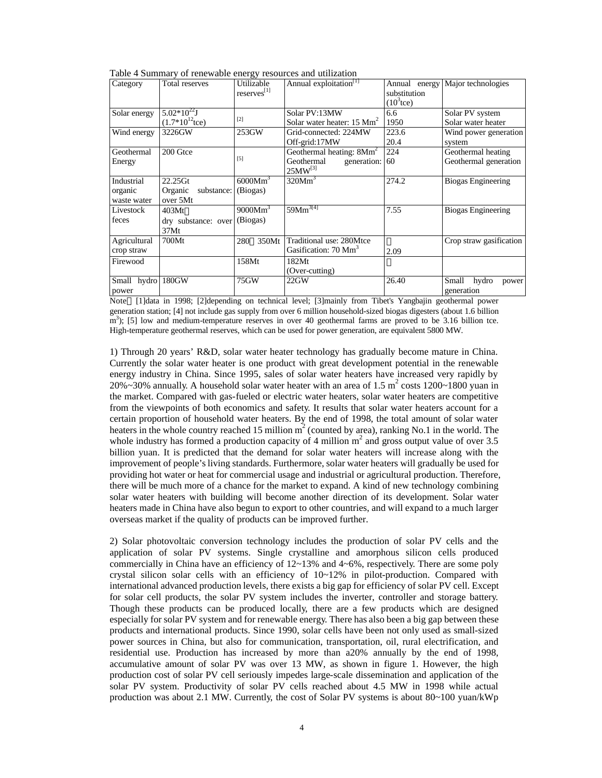|  | Table 4 Summary of renewable energy resources and utilization |
|--|---------------------------------------------------------------|
|  |                                                               |

| Category                             | Total reserves                                           | ິ<br>Utilizable<br>reserves[1] | Annual exploitation <sup>[1]</sup>                                         | substitution<br>$(10^3$ tce) | Annual energy Major technologies            |
|--------------------------------------|----------------------------------------------------------|--------------------------------|----------------------------------------------------------------------------|------------------------------|---------------------------------------------|
| Solar energy                         | $5.02*10^{22}$ J<br>$(1.7*10^{12}$ tce)                  | $[2]$                          | Solar PV:13MW<br>Solar water heater: $15 \text{ Mm}^2$                     | 6.6<br>1950                  | Solar PV system<br>Solar water heater       |
| Wind energy                          | 3226GW                                                   | 253GW                          | Grid-connected: 224MW<br>Off-grid:17MW                                     | 223.6<br>20.4                | Wind power generation<br>system             |
| Geothermal<br>Energy                 | 200 Gtce                                                 | $[5]$                          | Geothermal heating: $8Mm2$<br>Geothermal<br>generation: 60<br>$25MW^{[3]}$ | 224                          | Geothermal heating<br>Geothermal generation |
| Industrial<br>organic<br>waste water | $22.25$ Gt<br>Organic<br>substance: (Biogas)<br>over 5Mt | 6000Mm <sup>3</sup>            | 320Mm <sup>3</sup>                                                         | 274.2                        | <b>Biogas Engineering</b>                   |
| Livestock<br>feces                   | 403Mt<br>dry substance: over (Biogas)<br>37Mt            | 9000Mm <sup>3</sup>            | $59Mm^{3[4]}$                                                              | 7.55                         | Biogas Engineering                          |
| Agricultural<br>crop straw           | 700Mt                                                    | 350Mt<br>280                   | Traditional use: 280Mtce<br>Gasification: 70 Mm <sup>3</sup>               | 2.09                         | Crop straw gasification                     |
| Firewood                             |                                                          | 158Mt                          | 182Mt<br>(Over-cutting)                                                    |                              |                                             |
| Small hydro 180GW<br>power           |                                                          | 75GW                           | 22GW                                                                       | 26.40                        | Small<br>hydro<br>power<br>generation       |

Note [1]data in 1998; [2]depending on technical level; [3]mainly from Tibet's Yangbajin geothermal power generation station; [4] not include gas supply from over 6 million household-sized biogas digesters (about 1.6 billion m<sup>3</sup>); [5] low and medium-temperature reserves in over 40 geothermal farms are proved to be 3.16 billion tce. High-temperature geothermal reserves, which can be used for power generation, are equivalent 5800 MW.

1) Through 20 years' R&D, solar water heater technology has gradually become mature in China. Currently the solar water heater is one product with great development potential in the renewable energy industry in China. Since 1995, sales of solar water heaters have increased very rapidly by 20%~30% annually. A household solar water heater with an area of 1.5  $m^2$  costs 1200~1800 yuan in the market. Compared with gas-fueled or electric water heaters, solar water heaters are competitive from the viewpoints of both economics and safety. It results that solar water heaters account for a certain proportion of household water heaters. By the end of 1998, the total amount of solar water heaters in the whole country reached 15 million  $m^2$  (counted by area), ranking No.1 in the world. The whole industry has formed a production capacity of 4 million  $m^2$  and gross output value of over 3.5 billion yuan. It is predicted that the demand for solar water heaters will increase along with the improvement of people's living standards. Furthermore, solar water heaters will gradually be used for providing hot water or heat for commercial usage and industrial or agricultural production. Therefore, there will be much more of a chance for the market to expand. A kind of new technology combining solar water heaters with building will become another direction of its development. Solar water heaters made in China have also begun to export to other countries, and will expand to a much larger overseas market if the quality of products can be improved further.

2) Solar photovoltaic conversion technology includes the production of solar PV cells and the application of solar PV systems. Single crystalline and amorphous silicon cells produced commercially in China have an efficiency of  $12{\sim}13\%$  and  $4{\sim}6\%$ , respectively. There are some poly crystal silicon solar cells with an efficiency of  $10~12\%$  in pilot-production. Compared with international advanced production levels, there exists a big gap for efficiency of solar PV cell. Except for solar cell products, the solar PV system includes the inverter, controller and storage battery. Though these products can be produced locally, there are a few products which are designed especially for solar PV system and for renewable energy. There has also been a big gap between these products and international products. Since 1990, solar cells have been not only used as small-sized power sources in China, but also for communication, transportation, oil, rural electrification, and residential use. Production has increased by more than a20% annually by the end of 1998, accumulative amount of solar PV was over 13 MW, as shown in figure 1. However, the high production cost of solar PV cell seriously impedes large-scale dissemination and application of the solar PV system. Productivity of solar PV cells reached about 4.5 MW in 1998 while actual production was about 2.1 MW. Currently, the cost of Solar PV systems is about 80~100 yuan/kWp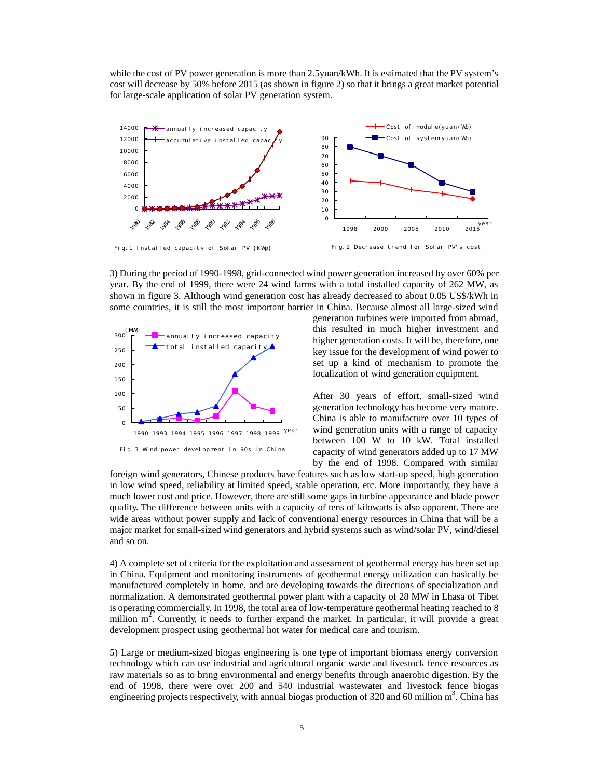while the cost of PV power generation is more than 2.5yuan/kWh. It is estimated that the PV system's cost will decrease by 50% before 2015 (as shown in figure 2) so that it brings a great market potential for large-scale application of solar PV generation system.



3) During the period of 1990-1998, grid-connected wind power generation increased by over 60% per year. By the end of 1999, there were 24 wind farms with a total installed capacity of 262 MW, as shown in figure 3. Although wind generation cost has already decreased to about 0.05 US\$/kWh in some countries, it is still the most important barrier in China. Because almost all large-sized wind



generation turbines were imported from abroad, this resulted in much higher investment and higher generation costs. It will be, therefore, one key issue for the development of wind power to set up a kind of mechanism to promote the localization of wind generation equipment.

After 30 years of effort, small-sized wind generation technology has become very mature. China is able to manufacture over 10 types of wind generation units with a range of capacity between 100 W to 10 kW. Total installed capacity of wind generators added up to 17 MW by the end of 1998. Compared with similar

foreign wind generators, Chinese products have features such as low start-up speed, high generation in low wind speed, reliability at limited speed, stable operation, etc. More importantly, they have a much lower cost and price. However, there are still some gaps in turbine appearance and blade power quality. The difference between units with a capacity of tens of kilowatts is also apparent. There are wide areas without power supply and lack of conventional energy resources in China that will be a major market for small-sized wind generators and hybrid systems such as wind/solar PV, wind/diesel and so on.

4) A complete set of criteria for the exploitation and assessment of geothermal energy has been set up in China. Equipment and monitoring instruments of geothermal energy utilization can basically be manufactured completely in home, and are developing towards the directions of specialization and normalization. A demonstrated geothermal power plant with a capacity of 28 MW in Lhasa of Tibet is operating commercially. In 1998, the total area of low-temperature geothermal heating reached to 8 million  $m^2$ . Currently, it needs to further expand the market. In particular, it will provide a great development prospect using geothermal hot water for medical care and tourism.

5) Large or medium-sized biogas engineering is one type of important biomass energy conversion technology which can use industrial and agricultural organic waste and livestock fence resources as raw materials so as to bring environmental and energy benefits through anaerobic digestion. By the end of 1998, there were over 200 and 540 industrial wastewater and livestock fence biogas engineering projects respectively, with annual biogas production of 320 and 60 million  $m^3$ . China has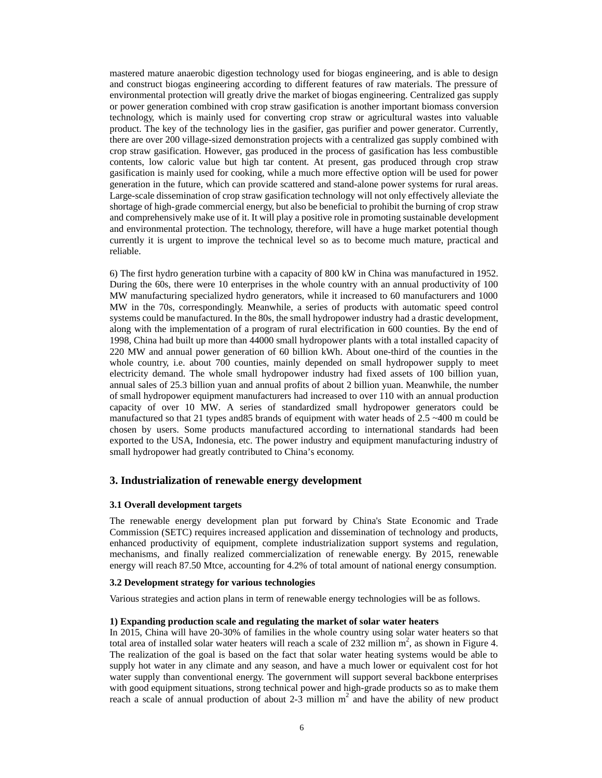mastered mature anaerobic digestion technology used for biogas engineering, and is able to design and construct biogas engineering according to different features of raw materials. The pressure of environmental protection will greatly drive the market of biogas engineering. Centralized gas supply or power generation combined with crop straw gasification is another important biomass conversion technology, which is mainly used for converting crop straw or agricultural wastes into valuable product. The key of the technology lies in the gasifier, gas purifier and power generator. Currently, there are over 200 village-sized demonstration projects with a centralized gas supply combined with crop straw gasification. However, gas produced in the process of gasification has less combustible contents, low caloric value but high tar content. At present, gas produced through crop straw gasification is mainly used for cooking, while a much more effective option will be used for power generation in the future, which can provide scattered and stand-alone power systems for rural areas. Large-scale dissemination of crop straw gasification technology will not only effectively alleviate the shortage of high-grade commercial energy, but also be beneficial to prohibit the burning of crop straw and comprehensively make use of it. It will play a positive role in promoting sustainable development and environmental protection. The technology, therefore, will have a huge market potential though currently it is urgent to improve the technical level so as to become much mature, practical and reliable.

6) The first hydro generation turbine with a capacity of 800 kW in China was manufactured in 1952. During the 60s, there were 10 enterprises in the whole country with an annual productivity of 100 MW manufacturing specialized hydro generators, while it increased to 60 manufacturers and 1000 MW in the 70s, correspondingly. Meanwhile, a series of products with automatic speed control systems could be manufactured. In the 80s, the small hydropower industry had a drastic development, along with the implementation of a program of rural electrification in 600 counties. By the end of 1998, China had built up more than 44000 small hydropower plants with a total installed capacity of 220 MW and annual power generation of 60 billion kWh. About one-third of the counties in the whole country, i.e. about 700 counties, mainly depended on small hydropower supply to meet electricity demand. The whole small hydropower industry had fixed assets of 100 billion yuan, annual sales of 25.3 billion yuan and annual profits of about 2 billion yuan. Meanwhile, the number of small hydropower equipment manufacturers had increased to over 110 with an annual production capacity of over 10 MW. A series of standardized small hydropower generators could be manufactured so that 21 types and85 brands of equipment with water heads of 2.5 ~400 m could be chosen by users. Some products manufactured according to international standards had been exported to the USA, Indonesia, etc. The power industry and equipment manufacturing industry of small hydropower had greatly contributed to China's economy.

## **3. Industrialization of renewable energy development**

### **3.1 Overall development targets**

The renewable energy development plan put forward by China's State Economic and Trade Commission (SETC) requires increased application and dissemination of technology and products, enhanced productivity of equipment, complete industrialization support systems and regulation, mechanisms, and finally realized commercialization of renewable energy. By 2015, renewable energy will reach 87.50 Mtce, accounting for 4.2% of total amount of national energy consumption.

### **3.2 Development strategy for various technologies**

Various strategies and action plans in term of renewable energy technologies will be as follows.

#### **1) Expanding production scale and regulating the market of solar water heaters**

In 2015, China will have 20-30% of families in the whole country using solar water heaters so that total area of installed solar water heaters will reach a scale of 232 million  $m^2$ , as shown in Figure 4. The realization of the goal is based on the fact that solar water heating systems would be able to supply hot water in any climate and any season, and have a much lower or equivalent cost for hot water supply than conventional energy. The government will support several backbone enterprises with good equipment situations, strong technical power and high-grade products so as to make them reach a scale of annual production of about 2-3 million  $m^2$  and have the ability of new product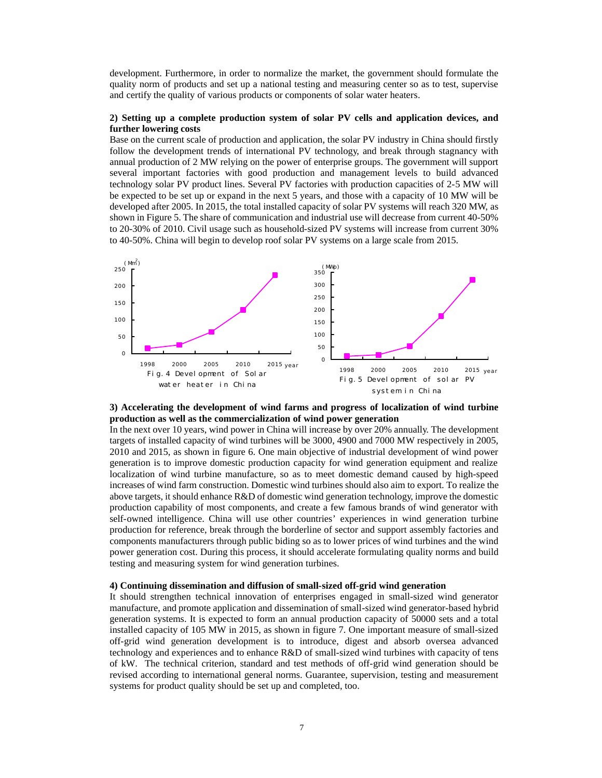development. Furthermore, in order to normalize the market, the government should formulate the quality norm of products and set up a national testing and measuring center so as to test, supervise and certify the quality of various products or components of solar water heaters.

### **2) Setting up a complete production system of solar PV cells and application devices, and further lowering costs**

Base on the current scale of production and application, the solar PV industry in China should firstly follow the development trends of international PV technology, and break through stagnancy with annual production of 2 MW relying on the power of enterprise groups. The government will support several important factories with good production and management levels to build advanced technology solar PV product lines. Several PV factories with production capacities of 2-5 MW will be expected to be set up or expand in the next 5 years, and those with a capacity of 10 MW will be developed after 2005. In 2015, the total installed capacity of solar PV systems will reach 320 MW, as shown in Figure 5. The share of communication and industrial use will decrease from current 40-50% to 20-30% of 2010. Civil usage such as household-sized PV systems will increase from current 30% to 40-50%. China will begin to develop roof solar PV systems on a large scale from 2015.



### **3) Accelerating the development of wind farms and progress of localization of wind turbine production as well as the commercialization of wind power generation**

In the next over 10 years, wind power in China will increase by over 20% annually. The development targets of installed capacity of wind turbines will be 3000, 4900 and 7000 MW respectively in 2005, 2010 and 2015, as shown in figure 6. One main objective of industrial development of wind power generation is to improve domestic production capacity for wind generation equipment and realize localization of wind turbine manufacture, so as to meet domestic demand caused by high-speed increases of wind farm construction. Domestic wind turbines should also aim to export. To realize the above targets, it should enhance R&D of domestic wind generation technology, improve the domestic production capability of most components, and create a few famous brands of wind generator with self-owned intelligence. China will use other countries' experiences in wind generation turbine production for reference, break through the borderline of sector and support assembly factories and components manufacturers through public biding so as to lower prices of wind turbines and the wind power generation cost. During this process, it should accelerate formulating quality norms and build testing and measuring system for wind generation turbines.

#### **4) Continuing dissemination and diffusion of small-sized off-grid wind generation**

It should strengthen technical innovation of enterprises engaged in small-sized wind generator manufacture, and promote application and dissemination of small-sized wind generator-based hybrid generation systems. It is expected to form an annual production capacity of 50000 sets and a total installed capacity of 105 MW in 2015, as shown in figure 7. One important measure of small-sized off-grid wind generation development is to introduce, digest and absorb oversea advanced technology and experiences and to enhance R&D of small-sized wind turbines with capacity of tens of kW. The technical criterion, standard and test methods of off-grid wind generation should be revised according to international general norms. Guarantee, supervision, testing and measurement systems for product quality should be set up and completed, too.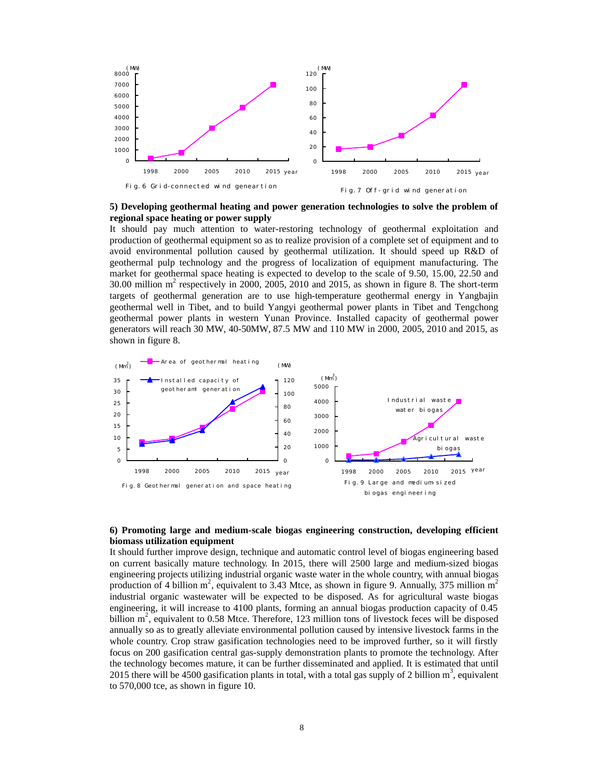

**5) Developing geothermal heating and power generation technologies to solve the problem of regional space heating or power supply**

It should pay much attention to water-restoring technology of geothermal exploitation and production of geothermal equipment so as to realize provision of a complete set of equipment and to avoid environmental pollution caused by geothermal utilization. It should speed up R&D of geothermal pulp technology and the progress of localization of equipment manufacturing. The market for geothermal space heating is expected to develop to the scale of 9.50, 15.00, 22.50 and 30.00 million  $m^2$  respectively in 2000, 2005, 2010 and 2015, as shown in figure 8. The short-term targets of geothermal generation are to use high-temperature geothermal energy in Yangbajin geothermal well in Tibet, and to build Yangyi geothermal power plants in Tibet and Tengchong geothermal power plants in western Yunan Province. Installed capacity of geothermal power generators will reach 30 MW, 40-50MW, 87.5 MW and 110 MW in 2000, 2005, 2010 and 2015, as shown in figure 8.



### **6) Promoting large and medium-scale biogas engineering construction, developing efficient biomass utilization equipment**

It should further improve design, technique and automatic control level of biogas engineering based on current basically mature technology. In 2015, there will 2500 large and medium-sized biogas engineering projects utilizing industrial organic waste water in the whole country, with annual biogas production of 4 billion  $m^2$ , equivalent to 3.43 Mtce, as shown in figure 9. Annually, 375 million  $m^2$ industrial organic wastewater will be expected to be disposed. As for agricultural waste biogas engineering, it will increase to 4100 plants, forming an annual biogas production capacity of 0.45 billion m<sup>2</sup>, equivalent to 0.58 Mtce. Therefore, 123 million tons of livestock feces will be disposed annually so as to greatly alleviate environmental pollution caused by intensive livestock farms in the whole country. Crop straw gasification technologies need to be improved further, so it will firstly focus on 200 gasification central gas-supply demonstration plants to promote the technology. After the technology becomes mature, it can be further disseminated and applied. It is estimated that until 2015 there will be 4500 gasification plants in total, with a total gas supply of 2 billion  $m^3$ , equivalent to 570,000 tce, as shown in figure 10.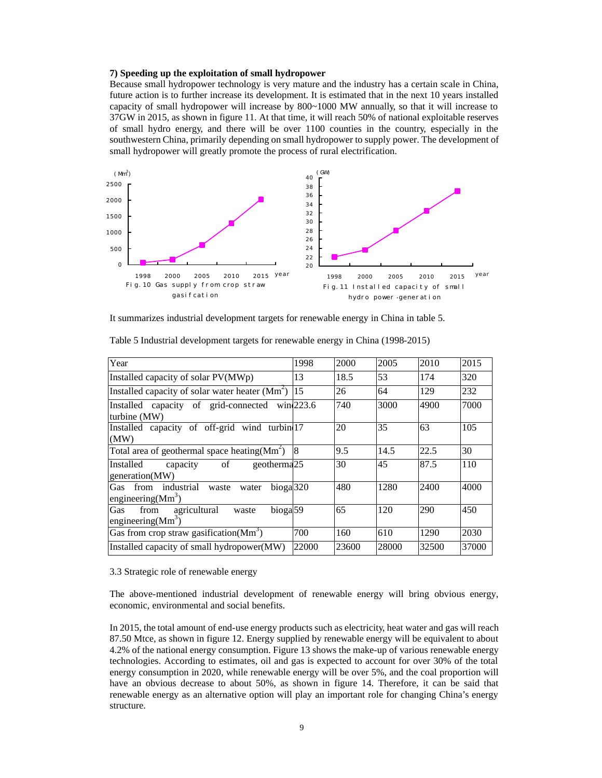#### **7) Speeding up the exploitation of small hydropower**

Because small hydropower technology is very mature and the industry has a certain scale in China, future action is to further increase its development. It is estimated that in the next 10 years installed capacity of small hydropower will increase by 800~1000 MW annually, so that it will increase to 37GW in 2015, as shown in figure 11. At that time, it will reach 50% of national exploitable reserves of small hydro energy, and there will be over 1100 counties in the country, especially in the southwestern China, primarily depending on small hydropower to supply power. The development of small hydropower will greatly promote the process of rural electrification.



It summarizes industrial development targets for renewable energy in China in table 5.

| Year                                                                                  | 1998  | 2000  | 2005  | 2010  | 2015  |
|---------------------------------------------------------------------------------------|-------|-------|-------|-------|-------|
| Installed capacity of solar PV(MWp)                                                   | 13    | 18.5  | 53    | 174   | 320   |
| Installed capacity of solar water heater $(Mm^2)$                                     | 15    | 26    | 64    | 129   | 232   |
| Installed capacity of grid-connected win <sup>223.6</sup><br>turbine (MW)             |       | 740   | 3000  | 4900  | 7000  |
| Installed capacity of off-grid wind turbin 17<br>(MW)                                 |       | 20    | 35    | 63    | 105   |
| Total area of geothermal space heating $(Mm^2)$                                       | 8     | 9.5   | 14.5  | 22.5  | 30    |
| of<br>geotherma <sub>25</sub><br>Installed<br>capacity<br>generation(MW)              |       | 30    | 45    | 87.5  | 110   |
| from industrial waste<br>bioga <sup>320</sup><br>Gas<br>water<br>engineering $(Mm^3)$ |       | 480   | 1280  | 2400  | 4000  |
| bioga <sup>59</sup><br>agricultural<br>Gas<br>from<br>waste<br>engineering $(Mm^3)$   |       | 65    | 120   | 290   | 450   |
| Gas from crop straw gasification $(Mm^3)$                                             | 700   | 160   | 610   | 1290  | 2030  |
| Installed capacity of small hydropower(MW)                                            | 22000 | 23600 | 28000 | 32500 | 37000 |

Table 5 Industrial development targets for renewable energy in China (1998-2015)

### 3.3 Strategic role of renewable energy

The above-mentioned industrial development of renewable energy will bring obvious energy, economic, environmental and social benefits.

In 2015, the total amount of end-use energy products such as electricity, heat water and gas will reach 87.50 Mtce, as shown in figure 12. Energy supplied by renewable energy will be equivalent to about 4.2% of the national energy consumption. Figure 13 shows the make-up of various renewable energy technologies. According to estimates, oil and gas is expected to account for over 30% of the total energy consumption in 2020, while renewable energy will be over 5%, and the coal proportion will have an obvious decrease to about 50%, as shown in figure 14. Therefore, it can be said that renewable energy as an alternative option will play an important role for changing China's energy structure.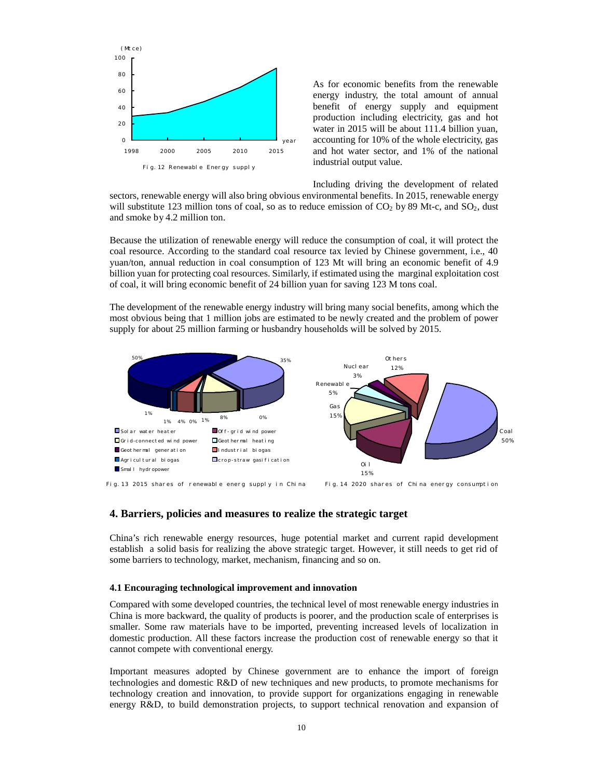

As for economic benefits from the renewable energy industry, the total amount of annual benefit of energy supply and equipment production including electricity, gas and hot water in 2015 will be about 111.4 billion yuan, accounting for 10% of the whole electricity, gas and hot water sector, and 1% of the national industrial output value.

Including driving the development of related sectors, renewable energy will also bring obvious environmental benefits. In 2015, renewable energy will substitute 123 million tons of coal, so as to reduce emission of  $CO<sub>2</sub>$  by 89 Mt-c, and  $SO<sub>2</sub>$ , dust and smoke by 4.2 million ton.

Because the utilization of renewable energy will reduce the consumption of coal, it will protect the coal resource. According to the standard coal resource tax levied by Chinese government, i.e., 40 yuan/ton, annual reduction in coal consumption of 123 Mt will bring an economic benefit of 4.9 billion yuan for protecting coal resources. Similarly, if estimated using the marginal exploitation cost of coal, it will bring economic benefit of 24 billion yuan for saving 123 M tons coal.

The development of the renewable energy industry will bring many social benefits, among which the most obvious being that 1 million jobs are estimated to be newly created and the problem of power supply for about 25 million farming or husbandry households will be solved by 2015.



Fig. 13 2015 shares of renewable energ supply in China Fi g. 14 2020 shares of China energy consumption

## **4. Barriers, policies and measures to realize the strategic target**

China's rich renewable energy resources, huge potential market and current rapid development establish a solid basis for realizing the above strategic target. However, it still needs to get rid of some barriers to technology, market, mechanism, financing and so on.

### **4.1 Encouraging technological improvement and innovation**

Compared with some developed countries, the technical level of most renewable energy industries in China is more backward, the quality of products is poorer, and the production scale of enterprises is smaller. Some raw materials have to be imported, preventing increased levels of localization in domestic production. All these factors increase the production cost of renewable energy so that it cannot compete with conventional energy.

Important measures adopted by Chinese government are to enhance the import of foreign technologies and domestic R&D of new techniques and new products, to promote mechanisms for technology creation and innovation, to provide support for organizations engaging in renewable energy R&D, to build demonstration projects, to support technical renovation and expansion of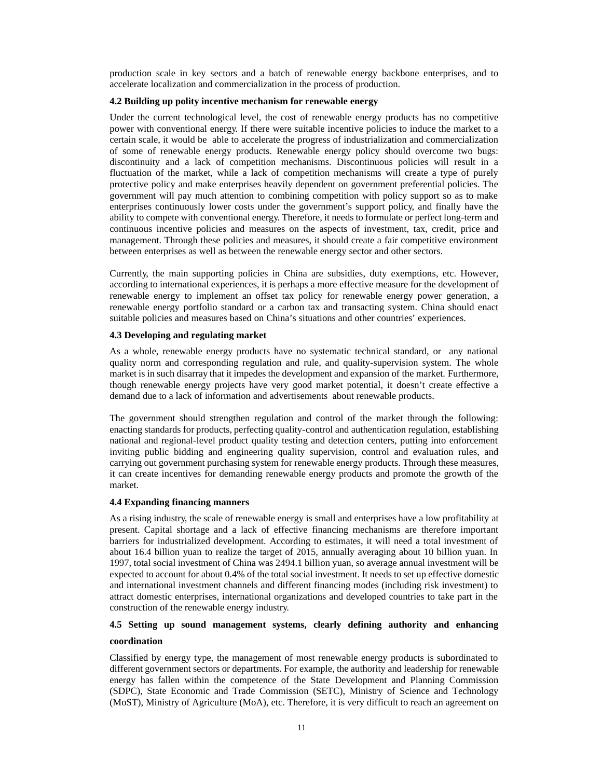production scale in key sectors and a batch of renewable energy backbone enterprises, and to accelerate localization and commercialization in the process of production.

### **4.2 Building up polity incentive mechanism for renewable energy**

Under the current technological level, the cost of renewable energy products has no competitive power with conventional energy. If there were suitable incentive policies to induce the market to a certain scale, it would be able to accelerate the progress of industrialization and commercialization of some of renewable energy products. Renewable energy policy should overcome two bugs: discontinuity and a lack of competition mechanisms. Discontinuous policies will result in a fluctuation of the market, while a lack of competition mechanisms will create a type of purely protective policy and make enterprises heavily dependent on government preferential policies. The government will pay much attention to combining competition with policy support so as to make enterprises continuously lower costs under the government's support policy, and finally have the ability to compete with conventional energy. Therefore, it needs to formulate or perfect long-term and continuous incentive policies and measures on the aspects of investment, tax, credit, price and management. Through these policies and measures, it should create a fair competitive environment between enterprises as well as between the renewable energy sector and other sectors.

Currently, the main supporting policies in China are subsidies, duty exemptions, etc. However, according to international experiences, it is perhaps a more effective measure for the development of renewable energy to implement an offset tax policy for renewable energy power generation, a renewable energy portfolio standard or a carbon tax and transacting system. China should enact suitable policies and measures based on China's situations and other countries' experiences.

## **4.3 Developing and regulating market**

As a whole, renewable energy products have no systematic technical standard, or any national quality norm and corresponding regulation and rule, and quality-supervision system. The whole market is in such disarray that it impedes the development and expansion of the market. Furthermore, though renewable energy projects have very good market potential, it doesn't create effective a demand due to a lack of information and advertisements about renewable products.

The government should strengthen regulation and control of the market through the following: enacting standards for products, perfecting quality-control and authentication regulation, establishing national and regional-level product quality testing and detection centers, putting into enforcement inviting public bidding and engineering quality supervision, control and evaluation rules, and carrying out government purchasing system for renewable energy products. Through these measures, it can create incentives for demanding renewable energy products and promote the growth of the market.

# **4.4 Expanding financing manners**

As a rising industry, the scale of renewable energy is small and enterprises have a low profitability at present. Capital shortage and a lack of effective financing mechanisms are therefore important barriers for industrialized development. According to estimates, it will need a total investment of about 16.4 billion yuan to realize the target of 2015, annually averaging about 10 billion yuan. In 1997, total social investment of China was 2494.1 billion yuan, so average annual investment will be expected to account for about 0.4% of the total social investment. It needs to set up effective domestic and international investment channels and different financing modes (including risk investment) to attract domestic enterprises, international organizations and developed countries to take part in the construction of the renewable energy industry.

# **4.5 Setting up sound management systems, clearly defining authority and enhancing coordination**

## Classified by energy type, the management of most renewable energy products is subordinated to different government sectors or departments. For example, the authority and leadership for renewable energy has fallen within the competence of the State Development and Planning Commission (SDPC), State Economic and Trade Commission (SETC), Ministry of Science and Technology (MoST), Ministry of Agriculture (MoA), etc. Therefore, it is very difficult to reach an agreement on